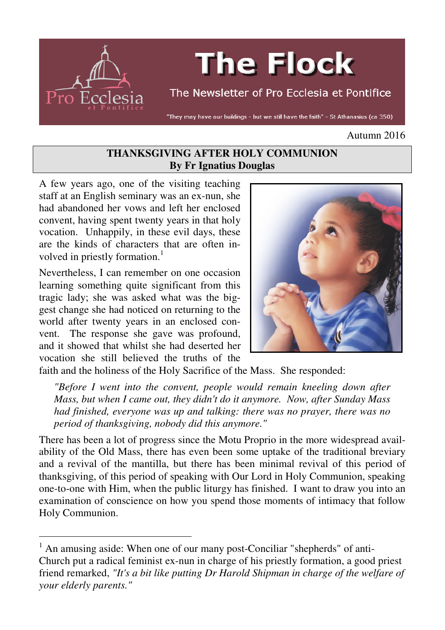

# **The Flock**

# The Newsletter of Pro Ecclesia et Pontifice

"They may have our buildings - but we still have the faith" - St Athanasius (ca 350)

#### Autumn 2016

#### **THANKSGIVING AFTER HOLY COMMUNION By Fr Ignatius Douglas**

A few years ago, one of the visiting teaching staff at an English seminary was an ex-nun, she had abandoned her vows and left her enclosed convent, having spent twenty years in that holy vocation. Unhappily, in these evil days, these are the kinds of characters that are often involved in priestly formation.<sup>1</sup>

Nevertheless, I can remember on one occasion learning something quite significant from this tragic lady; she was asked what was the biggest change she had noticed on returning to the world after twenty years in an enclosed convent. The response she gave was profound, and it showed that whilst she had deserted her vocation she still believed the truths of the

 $\overline{a}$ 



faith and the holiness of the Holy Sacrifice of the Mass. She responded:

*"Before I went into the convent, people would remain kneeling down after Mass, but when I came out, they didn't do it anymore. Now, after Sunday Mass had finished, everyone was up and talking: there was no prayer, there was no period of thanksgiving, nobody did this anymore."* 

There has been a lot of progress since the Motu Proprio in the more widespread availability of the Old Mass, there has even been some uptake of the traditional breviary and a revival of the mantilla, but there has been minimal revival of this period of thanksgiving, of this period of speaking with Our Lord in Holy Communion, speaking one-to-one with Him, when the public liturgy has finished. I want to draw you into an examination of conscience on how you spend those moments of intimacy that follow Holy Communion.

<sup>&</sup>lt;sup>1</sup> An amusing aside: When one of our many post-Conciliar "shepherds" of anti-Church put a radical feminist ex-nun in charge of his priestly formation, a good priest friend remarked, *"It's a bit like putting Dr Harold Shipman in charge of the welfare of your elderly parents."*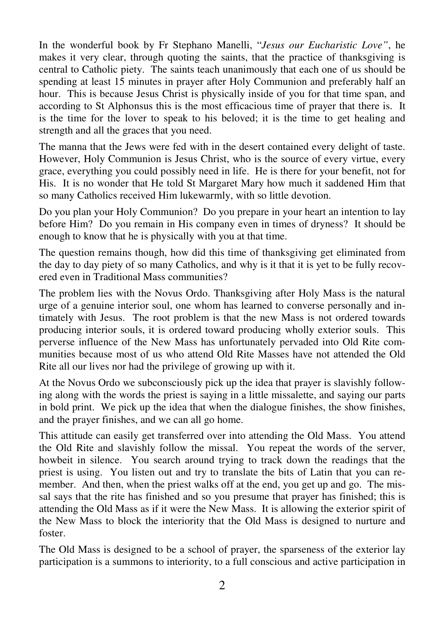In the wonderful book by Fr Stephano Manelli, "*Jesus our Eucharistic Love"*, he makes it very clear, through quoting the saints, that the practice of thanksgiving is central to Catholic piety. The saints teach unanimously that each one of us should be spending at least 15 minutes in prayer after Holy Communion and preferably half an hour. This is because Jesus Christ is physically inside of you for that time span, and according to St Alphonsus this is the most efficacious time of prayer that there is. It is the time for the lover to speak to his beloved; it is the time to get healing and strength and all the graces that you need.

The manna that the Jews were fed with in the desert contained every delight of taste. However, Holy Communion is Jesus Christ, who is the source of every virtue, every grace, everything you could possibly need in life. He is there for your benefit, not for His. It is no wonder that He told St Margaret Mary how much it saddened Him that so many Catholics received Him lukewarmly, with so little devotion.

Do you plan your Holy Communion? Do you prepare in your heart an intention to lay before Him? Do you remain in His company even in times of dryness? It should be enough to know that he is physically with you at that time.

The question remains though, how did this time of thanksgiving get eliminated from the day to day piety of so many Catholics, and why is it that it is yet to be fully recovered even in Traditional Mass communities?

The problem lies with the Novus Ordo. Thanksgiving after Holy Mass is the natural urge of a genuine interior soul, one whom has learned to converse personally and intimately with Jesus. The root problem is that the new Mass is not ordered towards producing interior souls, it is ordered toward producing wholly exterior souls. This perverse influence of the New Mass has unfortunately pervaded into Old Rite communities because most of us who attend Old Rite Masses have not attended the Old Rite all our lives nor had the privilege of growing up with it.

At the Novus Ordo we subconsciously pick up the idea that prayer is slavishly following along with the words the priest is saying in a little missalette, and saying our parts in bold print. We pick up the idea that when the dialogue finishes, the show finishes, and the prayer finishes, and we can all go home.

This attitude can easily get transferred over into attending the Old Mass. You attend the Old Rite and slavishly follow the missal. You repeat the words of the server, howbeit in silence. You search around trying to track down the readings that the priest is using. You listen out and try to translate the bits of Latin that you can remember. And then, when the priest walks off at the end, you get up and go. The missal says that the rite has finished and so you presume that prayer has finished; this is attending the Old Mass as if it were the New Mass. It is allowing the exterior spirit of the New Mass to block the interiority that the Old Mass is designed to nurture and foster.

The Old Mass is designed to be a school of prayer, the sparseness of the exterior lay participation is a summons to interiority, to a full conscious and active participation in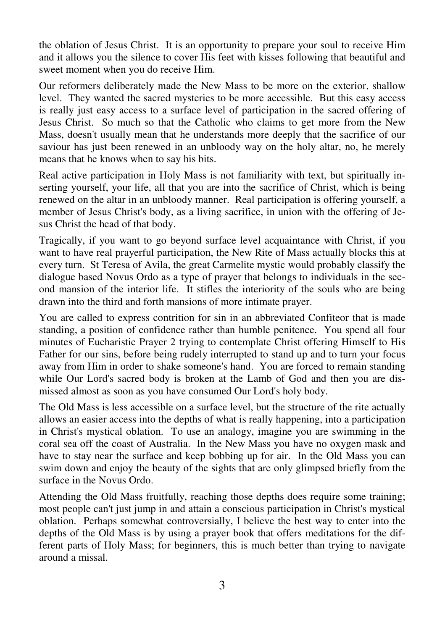the oblation of Jesus Christ. It is an opportunity to prepare your soul to receive Him and it allows you the silence to cover His feet with kisses following that beautiful and sweet moment when you do receive Him.

Our reformers deliberately made the New Mass to be more on the exterior, shallow level. They wanted the sacred mysteries to be more accessible. But this easy access is really just easy access to a surface level of participation in the sacred offering of Jesus Christ. So much so that the Catholic who claims to get more from the New Mass, doesn't usually mean that he understands more deeply that the sacrifice of our saviour has just been renewed in an unbloody way on the holy altar, no, he merely means that he knows when to say his bits.

Real active participation in Holy Mass is not familiarity with text, but spiritually inserting yourself, your life, all that you are into the sacrifice of Christ, which is being renewed on the altar in an unbloody manner. Real participation is offering yourself, a member of Jesus Christ's body, as a living sacrifice, in union with the offering of Jesus Christ the head of that body.

Tragically, if you want to go beyond surface level acquaintance with Christ, if you want to have real prayerful participation, the New Rite of Mass actually blocks this at every turn. St Teresa of Avila, the great Carmelite mystic would probably classify the dialogue based Novus Ordo as a type of prayer that belongs to individuals in the second mansion of the interior life. It stifles the interiority of the souls who are being drawn into the third and forth mansions of more intimate prayer.

You are called to express contrition for sin in an abbreviated Confiteor that is made standing, a position of confidence rather than humble penitence. You spend all four minutes of Eucharistic Prayer 2 trying to contemplate Christ offering Himself to His Father for our sins, before being rudely interrupted to stand up and to turn your focus away from Him in order to shake someone's hand. You are forced to remain standing while Our Lord's sacred body is broken at the Lamb of God and then you are dismissed almost as soon as you have consumed Our Lord's holy body.

The Old Mass is less accessible on a surface level, but the structure of the rite actually allows an easier access into the depths of what is really happening, into a participation in Christ's mystical oblation. To use an analogy, imagine you are swimming in the coral sea off the coast of Australia. In the New Mass you have no oxygen mask and have to stay near the surface and keep bobbing up for air. In the Old Mass you can swim down and enjoy the beauty of the sights that are only glimpsed briefly from the surface in the Novus Ordo.

Attending the Old Mass fruitfully, reaching those depths does require some training; most people can't just jump in and attain a conscious participation in Christ's mystical oblation. Perhaps somewhat controversially, I believe the best way to enter into the depths of the Old Mass is by using a prayer book that offers meditations for the different parts of Holy Mass; for beginners, this is much better than trying to navigate around a missal.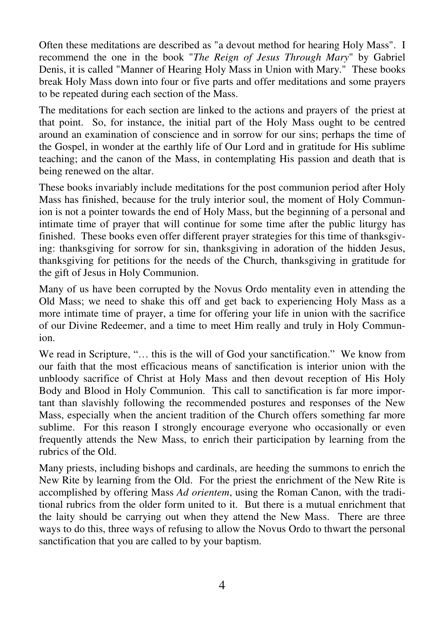Often these meditations are described as "a devout method for hearing Holy Mass". I recommend the one in the book "*The Reign of Jesus Through Mary*" by Gabriel Denis, it is called "Manner of Hearing Holy Mass in Union with Mary." These books break Holy Mass down into four or five parts and offer meditations and some prayers to be repeated during each section of the Mass.

The meditations for each section are linked to the actions and prayers of the priest at that point. So, for instance, the initial part of the Holy Mass ought to be centred around an examination of conscience and in sorrow for our sins; perhaps the time of the Gospel, in wonder at the earthly life of Our Lord and in gratitude for His sublime teaching; and the canon of the Mass, in contemplating His passion and death that is being renewed on the altar.

These books invariably include meditations for the post communion period after Holy Mass has finished, because for the truly interior soul, the moment of Holy Communion is not a pointer towards the end of Holy Mass, but the beginning of a personal and intimate time of prayer that will continue for some time after the public liturgy has finished. These books even offer different prayer strategies for this time of thanksgiving: thanksgiving for sorrow for sin, thanksgiving in adoration of the hidden Jesus, thanksgiving for petitions for the needs of the Church, thanksgiving in gratitude for the gift of Jesus in Holy Communion.

Many of us have been corrupted by the Novus Ordo mentality even in attending the Old Mass; we need to shake this off and get back to experiencing Holy Mass as a more intimate time of prayer, a time for offering your life in union with the sacrifice of our Divine Redeemer, and a time to meet Him really and truly in Holy Communion.

We read in Scripture, "… this is the will of God your sanctification." We know from our faith that the most efficacious means of sanctification is interior union with the unbloody sacrifice of Christ at Holy Mass and then devout reception of His Holy Body and Blood in Holy Communion. This call to sanctification is far more important than slavishly following the recommended postures and responses of the New Mass, especially when the ancient tradition of the Church offers something far more sublime. For this reason I strongly encourage everyone who occasionally or even frequently attends the New Mass, to enrich their participation by learning from the rubrics of the Old.

Many priests, including bishops and cardinals, are heeding the summons to enrich the New Rite by learning from the Old. For the priest the enrichment of the New Rite is accomplished by offering Mass *Ad orientem*, using the Roman Canon, with the traditional rubrics from the older form united to it. But there is a mutual enrichment that the laity should be carrying out when they attend the New Mass. There are three ways to do this, three ways of refusing to allow the Novus Ordo to thwart the personal sanctification that you are called to by your baptism.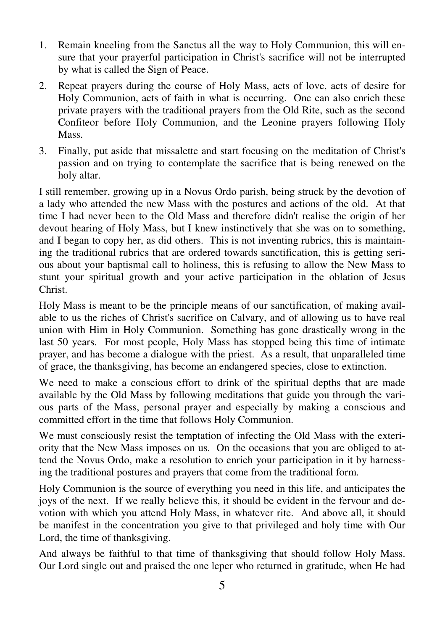- 1. Remain kneeling from the Sanctus all the way to Holy Communion, this will ensure that your prayerful participation in Christ's sacrifice will not be interrupted by what is called the Sign of Peace.
- 2. Repeat prayers during the course of Holy Mass, acts of love, acts of desire for Holy Communion, acts of faith in what is occurring. One can also enrich these private prayers with the traditional prayers from the Old Rite, such as the second Confiteor before Holy Communion, and the Leonine prayers following Holy Mass.
- 3. Finally, put aside that missalette and start focusing on the meditation of Christ's passion and on trying to contemplate the sacrifice that is being renewed on the holy altar.

I still remember, growing up in a Novus Ordo parish, being struck by the devotion of a lady who attended the new Mass with the postures and actions of the old. At that time I had never been to the Old Mass and therefore didn't realise the origin of her devout hearing of Holy Mass, but I knew instinctively that she was on to something, and I began to copy her, as did others. This is not inventing rubrics, this is maintaining the traditional rubrics that are ordered towards sanctification, this is getting serious about your baptismal call to holiness, this is refusing to allow the New Mass to stunt your spiritual growth and your active participation in the oblation of Jesus Christ.

Holy Mass is meant to be the principle means of our sanctification, of making available to us the riches of Christ's sacrifice on Calvary, and of allowing us to have real union with Him in Holy Communion. Something has gone drastically wrong in the last 50 years. For most people, Holy Mass has stopped being this time of intimate prayer, and has become a dialogue with the priest. As a result, that unparalleled time of grace, the thanksgiving, has become an endangered species, close to extinction.

We need to make a conscious effort to drink of the spiritual depths that are made available by the Old Mass by following meditations that guide you through the various parts of the Mass, personal prayer and especially by making a conscious and committed effort in the time that follows Holy Communion.

We must consciously resist the temptation of infecting the Old Mass with the exteriority that the New Mass imposes on us. On the occasions that you are obliged to attend the Novus Ordo, make a resolution to enrich your participation in it by harnessing the traditional postures and prayers that come from the traditional form.

Holy Communion is the source of everything you need in this life, and anticipates the joys of the next. If we really believe this, it should be evident in the fervour and devotion with which you attend Holy Mass, in whatever rite. And above all, it should be manifest in the concentration you give to that privileged and holy time with Our Lord, the time of thanksgiving.

And always be faithful to that time of thanksgiving that should follow Holy Mass. Our Lord single out and praised the one leper who returned in gratitude, when He had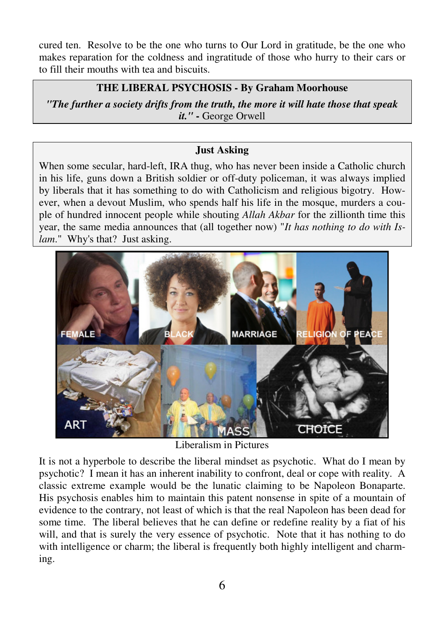cured ten. Resolve to be the one who turns to Our Lord in gratitude, be the one who makes reparation for the coldness and ingratitude of those who hurry to their cars or to fill their mouths with tea and biscuits.

## **THE LIBERAL PSYCHOSIS - By Graham Moorhouse**

*"The further a society drifts from the truth, the more it will hate those that speak it."* **-** George Orwell

## **Just Asking**

When some secular, hard-left, IRA thug, who has never been inside a Catholic church in his life, guns down a British soldier or off-duty policeman, it was always implied by liberals that it has something to do with Catholicism and religious bigotry. However, when a devout Muslim, who spends half his life in the mosque, murders a couple of hundred innocent people while shouting *Allah Akbar* for the zillionth time this year, the same media announces that (all together now) "*It has nothing to do with Islam*." Why's that? Just asking.



Liberalism in Pictures

It is not a hyperbole to describe the liberal mindset as psychotic. What do I mean by psychotic? I mean it has an inherent inability to confront, deal or cope with reality. A classic extreme example would be the lunatic claiming to be Napoleon Bonaparte. His psychosis enables him to maintain this patent nonsense in spite of a mountain of evidence to the contrary, not least of which is that the real Napoleon has been dead for some time. The liberal believes that he can define or redefine reality by a fiat of his will, and that is surely the very essence of psychotic. Note that it has nothing to do with intelligence or charm; the liberal is frequently both highly intelligent and charming.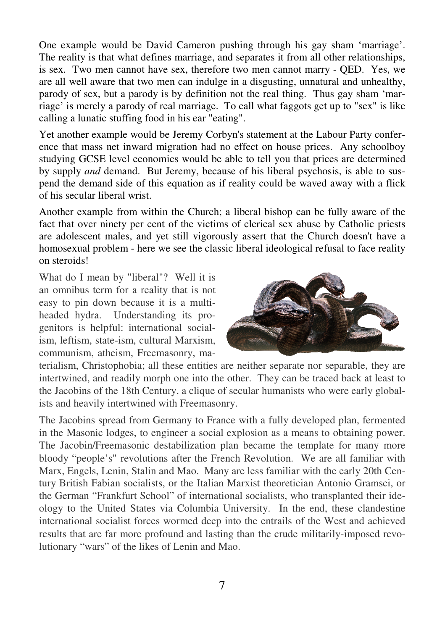One example would be David Cameron pushing through his gay sham 'marriage'. The reality is that what defines marriage, and separates it from all other relationships, is sex. Two men cannot have sex, therefore two men cannot marry - QED. Yes, we are all well aware that two men can indulge in a disgusting, unnatural and unhealthy, parody of sex, but a parody is by definition not the real thing. Thus gay sham 'marriage' is merely a parody of real marriage. To call what faggots get up to "sex" is like calling a lunatic stuffing food in his ear "eating".

Yet another example would be Jeremy Corbyn's statement at the Labour Party conference that mass net inward migration had no effect on house prices. Any schoolboy studying GCSE level economics would be able to tell you that prices are determined by supply *and* demand. But Jeremy, because of his liberal psychosis, is able to suspend the demand side of this equation as if reality could be waved away with a flick of his secular liberal wrist.

Another example from within the Church; a liberal bishop can be fully aware of the fact that over ninety per cent of the victims of clerical sex abuse by Catholic priests are adolescent males, and yet still vigorously assert that the Church doesn't have a homosexual problem - here we see the classic liberal ideological refusal to face reality on steroids!

What do I mean by "liberal"? Well it is an omnibus term for a reality that is not easy to pin down because it is a multiheaded hydra. Understanding its progenitors is helpful: international socialism, leftism, state-ism, cultural Marxism, communism, atheism, Freemasonry, ma-



terialism, Christophobia; all these entities are neither separate nor separable, they are intertwined, and readily morph one into the other. They can be traced back at least to the Jacobins of the 18th Century, a clique of secular humanists who were early globalists and heavily intertwined with Freemasonry.

The Jacobins spread from Germany to France with a fully developed plan, fermented in the Masonic lodges, to engineer a social explosion as a means to obtaining power. The Jacobin/Freemasonic destabilization plan became the template for many more bloody "people's" revolutions after the French Revolution. We are all familiar with Marx, Engels, Lenin, Stalin and Mao. Many are less familiar with the early 20th Century British Fabian socialists, or the Italian Marxist theoretician Antonio Gramsci, or the German "Frankfurt School" of international socialists, who transplanted their ideology to the United States via Columbia University. In the end, these clandestine international socialist forces wormed deep into the entrails of the West and achieved results that are far more profound and lasting than the crude militarily-imposed revolutionary "wars" of the likes of Lenin and Mao.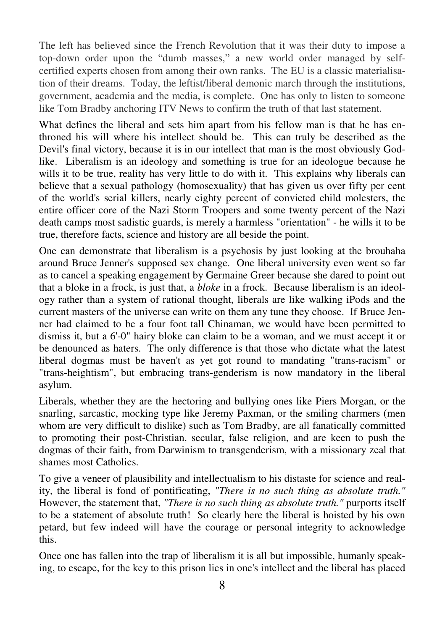The left has believed since the French Revolution that it was their duty to impose a top-down order upon the "dumb masses," a new world order managed by selfcertified experts chosen from among their own ranks. The EU is a classic materialisation of their dreams. Today, the leftist/liberal demonic march through the institutions, government, academia and the media, is complete. One has only to listen to someone like Tom Bradby anchoring ITV News to confirm the truth of that last statement.

What defines the liberal and sets him apart from his fellow man is that he has enthroned his will where his intellect should be. This can truly be described as the Devil's final victory, because it is in our intellect that man is the most obviously Godlike. Liberalism is an ideology and something is true for an ideologue because he wills it to be true, reality has very little to do with it. This explains why liberals can believe that a sexual pathology (homosexuality) that has given us over fifty per cent of the world's serial killers, nearly eighty percent of convicted child molesters, the entire officer core of the Nazi Storm Troopers and some twenty percent of the Nazi death camps most sadistic guards, is merely a harmless "orientation" - he wills it to be true, therefore facts, science and history are all beside the point.

One can demonstrate that liberalism is a psychosis by just looking at the brouhaha around Bruce Jenner's supposed sex change. One liberal university even went so far as to cancel a speaking engagement by Germaine Greer because she dared to point out that a bloke in a frock, is just that, a *bloke* in a frock. Because liberalism is an ideology rather than a system of rational thought, liberals are like walking iPods and the current masters of the universe can write on them any tune they choose. If Bruce Jenner had claimed to be a four foot tall Chinaman, we would have been permitted to dismiss it, but a 6'-0" hairy bloke can claim to be a woman, and we must accept it or be denounced as haters. The only difference is that those who dictate what the latest liberal dogmas must be haven't as yet got round to mandating "trans-racism" or "trans-heightism", but embracing trans-genderism is now mandatory in the liberal asylum.

Liberals, whether they are the hectoring and bullying ones like Piers Morgan, or the snarling, sarcastic, mocking type like Jeremy Paxman, or the smiling charmers (men whom are very difficult to dislike) such as Tom Bradby, are all fanatically committed to promoting their post-Christian, secular, false religion, and are keen to push the dogmas of their faith, from Darwinism to transgenderism, with a missionary zeal that shames most Catholics.

To give a veneer of plausibility and intellectualism to his distaste for science and reality, the liberal is fond of pontificating, *"There is no such thing as absolute truth."*  However, the statement that, *"There is no such thing as absolute truth."* purports itself to be a statement of absolute truth! So clearly here the liberal is hoisted by his own petard, but few indeed will have the courage or personal integrity to acknowledge this.

Once one has fallen into the trap of liberalism it is all but impossible, humanly speaking, to escape, for the key to this prison lies in one's intellect and the liberal has placed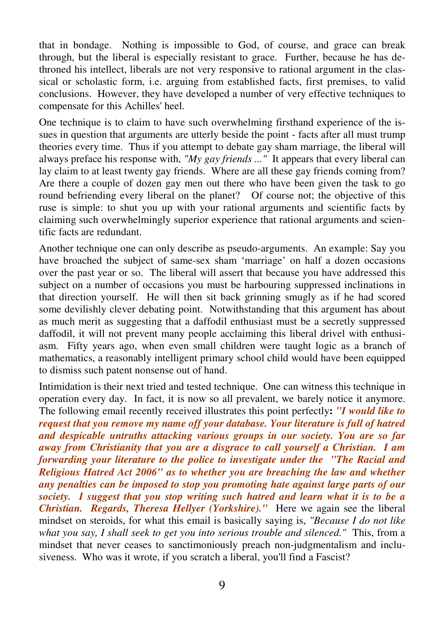that in bondage. Nothing is impossible to God, of course, and grace can break through, but the liberal is especially resistant to grace. Further, because he has dethroned his intellect, liberals are not very responsive to rational argument in the classical or scholastic form, i.e. arguing from established facts, first premises, to valid conclusions. However, they have developed a number of very effective techniques to compensate for this Achilles' heel.

One technique is to claim to have such overwhelming firsthand experience of the issues in question that arguments are utterly beside the point - facts after all must trump theories every time. Thus if you attempt to debate gay sham marriage, the liberal will always preface his response with, *"My gay friends ..."* It appears that every liberal can lay claim to at least twenty gay friends. Where are all these gay friends coming from? Are there a couple of dozen gay men out there who have been given the task to go round befriending every liberal on the planet? Of course not; the objective of this ruse is simple: to shut you up with your rational arguments and scientific facts by claiming such overwhelmingly superior experience that rational arguments and scientific facts are redundant.

Another technique one can only describe as pseudo-arguments. An example: Say you have broached the subject of same-sex sham 'marriage' on half a dozen occasions over the past year or so. The liberal will assert that because you have addressed this subject on a number of occasions you must be harbouring suppressed inclinations in that direction yourself. He will then sit back grinning smugly as if he had scored some devilishly clever debating point. Notwithstanding that this argument has about as much merit as suggesting that a daffodil enthusiast must be a secretly suppressed daffodil, it will not prevent many people acclaiming this liberal drivel with enthusiasm. Fifty years ago, when even small children were taught logic as a branch of mathematics, a reasonably intelligent primary school child would have been equipped to dismiss such patent nonsense out of hand.

Intimidation is their next tried and tested technique. One can witness this technique in operation every day. In fact, it is now so all prevalent, we barely notice it anymore. The following email recently received illustrates this point perfectly**:** *"I would like to request that you remove my name off your database. Your literature is full of hatred and despicable untruths attacking various groups in our society. You are so far away from Christianity that you are a disgrace to call yourself a Christian. I am forwarding your literature to the police to investigate under the "The Racial and Religious Hatred Act 2006" as to whether you are breaching the law and whether any penalties can be imposed to stop you promoting hate against large parts of our society. I suggest that you stop writing such hatred and learn what it is to be a Christian. Regards, Theresa Hellyer (Yorkshire)."* Here we again see the liberal mindset on steroids, for what this email is basically saying is, *"Because I do not like what you say, I shall seek to get you into serious trouble and silenced."* This, from a mindset that never ceases to sanctimoniously preach non-judgmentalism and inclusiveness. Who was it wrote, if you scratch a liberal, you'll find a Fascist?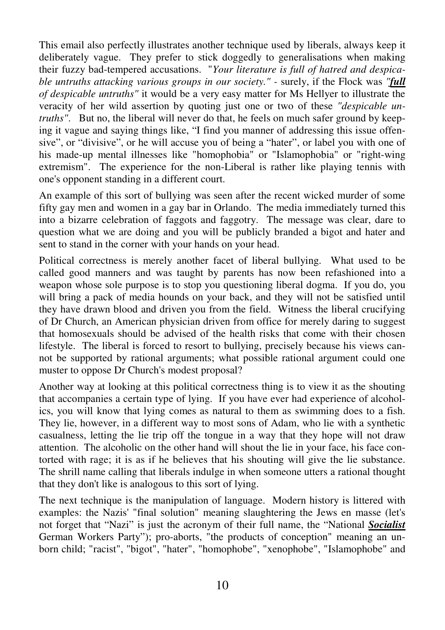This email also perfectly illustrates another technique used by liberals, always keep it deliberately vague. They prefer to stick doggedly to generalisations when making their fuzzy bad-tempered accusations. "*Your literature is full of hatred and despicable untruths attacking various groups in our society." -* surely, if the Flock was *"full of despicable untruths"* it would be a very easy matter for Ms Hellyer to illustrate the veracity of her wild assertion by quoting just one or two of these *"despicable untruths"*. But no, the liberal will never do that, he feels on much safer ground by keeping it vague and saying things like, "I find you manner of addressing this issue offensive", or "divisive", or he will accuse you of being a "hater", or label you with one of his made-up mental illnesses like "homophobia" or "Islamophobia" or "right-wing extremism". The experience for the non-Liberal is rather like playing tennis with one's opponent standing in a different court.

An example of this sort of bullying was seen after the recent wicked murder of some fifty gay men and women in a gay bar in Orlando. The media immediately turned this into a bizarre celebration of faggots and faggotry. The message was clear, dare to question what we are doing and you will be publicly branded a bigot and hater and sent to stand in the corner with your hands on your head.

Political correctness is merely another facet of liberal bullying. What used to be called good manners and was taught by parents has now been refashioned into a weapon whose sole purpose is to stop you questioning liberal dogma. If you do, you will bring a pack of media hounds on your back, and they will not be satisfied until they have drawn blood and driven you from the field. Witness the liberal crucifying of Dr Church, an American physician driven from office for merely daring to suggest that homosexuals should be advised of the health risks that come with their chosen lifestyle. The liberal is forced to resort to bullying, precisely because his views cannot be supported by rational arguments; what possible rational argument could one muster to oppose Dr Church's modest proposal?

Another way at looking at this political correctness thing is to view it as the shouting that accompanies a certain type of lying. If you have ever had experience of alcoholics, you will know that lying comes as natural to them as swimming does to a fish. They lie, however, in a different way to most sons of Adam, who lie with a synthetic casualness, letting the lie trip off the tongue in a way that they hope will not draw attention. The alcoholic on the other hand will shout the lie in your face, his face contorted with rage; it is as if he believes that his shouting will give the lie substance. The shrill name calling that liberals indulge in when someone utters a rational thought that they don't like is analogous to this sort of lying.

The next technique is the manipulation of language. Modern history is littered with examples: the Nazis' "final solution" meaning slaughtering the Jews en masse (let's not forget that "Nazi" is just the acronym of their full name, the "National *Socialist* German Workers Party"); pro-aborts, "the products of conception" meaning an unborn child; "racist", "bigot", "hater", "homophobe", "xenophobe", "Islamophobe" and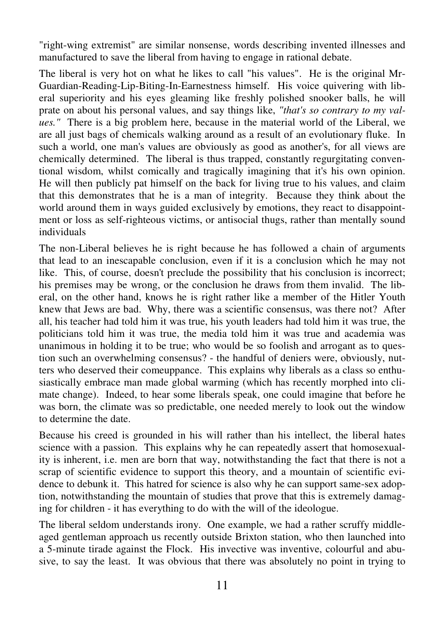"right-wing extremist" are similar nonsense, words describing invented illnesses and manufactured to save the liberal from having to engage in rational debate.

The liberal is very hot on what he likes to call "his values". He is the original Mr-Guardian-Reading-Lip-Biting-In-Earnestness himself. His voice quivering with liberal superiority and his eyes gleaming like freshly polished snooker balls, he will prate on about his personal values, and say things like, *"that's so contrary to my values."* There is a big problem here, because in the material world of the Liberal, we are all just bags of chemicals walking around as a result of an evolutionary fluke. In such a world, one man's values are obviously as good as another's, for all views are chemically determined. The liberal is thus trapped, constantly regurgitating conventional wisdom, whilst comically and tragically imagining that it's his own opinion. He will then publicly pat himself on the back for living true to his values, and claim that this demonstrates that he is a man of integrity. Because they think about the world around them in ways guided exclusively by emotions, they react to disappointment or loss as self-righteous victims, or antisocial thugs, rather than mentally sound individuals

The non-Liberal believes he is right because he has followed a chain of arguments that lead to an inescapable conclusion, even if it is a conclusion which he may not like. This, of course, doesn't preclude the possibility that his conclusion is incorrect; his premises may be wrong, or the conclusion he draws from them invalid. The liberal, on the other hand, knows he is right rather like a member of the Hitler Youth knew that Jews are bad. Why, there was a scientific consensus, was there not? After all, his teacher had told him it was true, his youth leaders had told him it was true, the politicians told him it was true, the media told him it was true and academia was unanimous in holding it to be true; who would be so foolish and arrogant as to question such an overwhelming consensus? - the handful of deniers were, obviously, nutters who deserved their comeuppance. This explains why liberals as a class so enthusiastically embrace man made global warming (which has recently morphed into climate change). Indeed, to hear some liberals speak, one could imagine that before he was born, the climate was so predictable, one needed merely to look out the window to determine the date.

Because his creed is grounded in his will rather than his intellect, the liberal hates science with a passion. This explains why he can repeatedly assert that homosexuality is inherent, i.e. men are born that way, notwithstanding the fact that there is not a scrap of scientific evidence to support this theory, and a mountain of scientific evidence to debunk it. This hatred for science is also why he can support same-sex adoption, notwithstanding the mountain of studies that prove that this is extremely damaging for children - it has everything to do with the will of the ideologue.

The liberal seldom understands irony. One example, we had a rather scruffy middleaged gentleman approach us recently outside Brixton station, who then launched into a 5-minute tirade against the Flock. His invective was inventive, colourful and abusive, to say the least. It was obvious that there was absolutely no point in trying to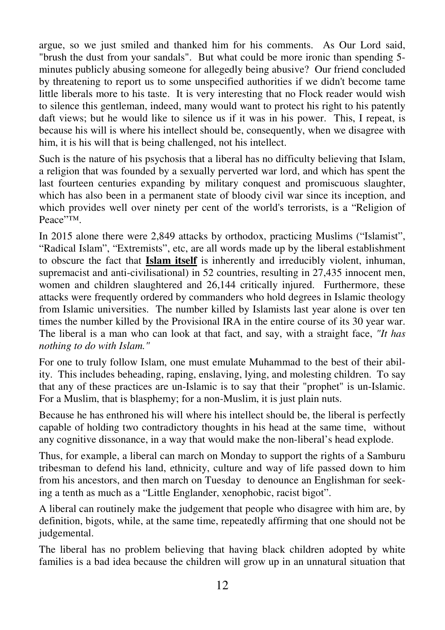argue, so we just smiled and thanked him for his comments. As Our Lord said, "brush the dust from your sandals". But what could be more ironic than spending 5 minutes publicly abusing someone for allegedly being abusive? Our friend concluded by threatening to report us to some unspecified authorities if we didn't become tame little liberals more to his taste. It is very interesting that no Flock reader would wish to silence this gentleman, indeed, many would want to protect his right to his patently daft views; but he would like to silence us if it was in his power. This, I repeat, is because his will is where his intellect should be, consequently, when we disagree with him, it is his will that is being challenged, not his intellect.

Such is the nature of his psychosis that a liberal has no difficulty believing that Islam, a religion that was founded by a sexually perverted war lord, and which has spent the last fourteen centuries expanding by military conquest and promiscuous slaughter, which has also been in a permanent state of bloody civil war since its inception, and which provides well over ninety per cent of the world's terrorists, is a "Religion of Peace"™.

In 2015 alone there were 2,849 attacks by orthodox, practicing Muslims ("Islamist", "Radical Islam", "Extremists", etc, are all words made up by the liberal establishment to obscure the fact that **Islam itself** is inherently and irreducibly violent, inhuman, supremacist and anti-civilisational) in 52 countries, resulting in 27,435 innocent men, women and children slaughtered and 26,144 critically injured. Furthermore, these attacks were frequently ordered by commanders who hold degrees in Islamic theology from Islamic universities. The number killed by Islamists last year alone is over ten times the number killed by the Provisional IRA in the entire course of its 30 year war. The liberal is a man who can look at that fact, and say, with a straight face, *"It has nothing to do with Islam."*

For one to truly follow Islam, one must emulate Muhammad to the best of their ability. This includes beheading, raping, enslaving, lying, and molesting children. To say that any of these practices are un-Islamic is to say that their "prophet" is un-Islamic. For a Muslim, that is blasphemy; for a non-Muslim, it is just plain nuts.

Because he has enthroned his will where his intellect should be, the liberal is perfectly capable of holding two contradictory thoughts in his head at the same time, without any cognitive dissonance, in a way that would make the non-liberal's head explode.

Thus, for example, a liberal can march on Monday to support the rights of a Samburu tribesman to defend his land, ethnicity, culture and way of life passed down to him from his ancestors, and then march on Tuesday to denounce an Englishman for seeking a tenth as much as a "Little Englander, xenophobic, racist bigot".

A liberal can routinely make the judgement that people who disagree with him are, by definition, bigots, while, at the same time, repeatedly affirming that one should not be judgemental.

The liberal has no problem believing that having black children adopted by white families is a bad idea because the children will grow up in an unnatural situation that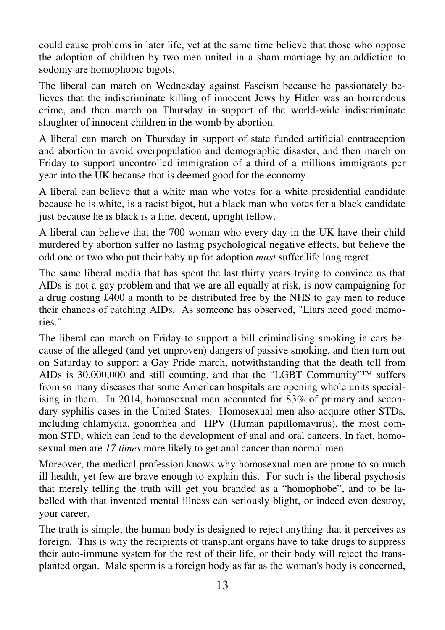could cause problems in later life, yet at the same time believe that those who oppose the adoption of children by two men united in a sham marriage by an addiction to sodomy are homophobic bigots.

The liberal can march on Wednesday against Fascism because he passionately believes that the indiscriminate killing of innocent Jews by Hitler was an horrendous crime, and then march on Thursday in support of the world-wide indiscriminate slaughter of innocent children in the womb by abortion.

A liberal can march on Thursday in support of state funded artificial contraception and abortion to avoid overpopulation and demographic disaster, and then march on Friday to support uncontrolled immigration of a third of a millions immigrants per year into the UK because that is deemed good for the economy.

A liberal can believe that a white man who votes for a white presidential candidate because he is white, is a racist bigot, but a black man who votes for a black candidate just because he is black is a fine, decent, upright fellow.

A liberal can believe that the 700 woman who every day in the UK have their child murdered by abortion suffer no lasting psychological negative effects, but believe the odd one or two who put their baby up for adoption *must* suffer life long regret.

The same liberal media that has spent the last thirty years trying to convince us that AIDs is not a gay problem and that we are all equally at risk, is now campaigning for a drug costing £400 a month to be distributed free by the NHS to gay men to reduce their chances of catching AIDs. As someone has observed, "Liars need good memories."

The liberal can march on Friday to support a bill criminalising smoking in cars because of the alleged (and yet unproven) dangers of passive smoking, and then turn out on Saturday to support a Gay Pride march, notwithstanding that the death toll from AIDs is 30,000,000 and still counting, and that the "LGBT Community"<sup>™</sup> suffers from so many diseases that some American hospitals are opening whole units specialising in them. In 2014, homosexual men accounted for 83% of primary and secondary syphilis cases in the United States. Homosexual men also acquire other STDs, including chlamydia, gonorrhea and HPV (Human papillomavirus), the most common STD, which can lead to the development of anal and oral cancers. In fact, homosexual men are *17 times* more likely to get anal cancer than normal men.

Moreover, the medical profession knows why homosexual men are prone to so much ill health, yet few are brave enough to explain this. For such is the liberal psychosis that merely telling the truth will get you branded as a "homophobe", and to be labelled with that invented mental illness can seriously blight, or indeed even destroy, your career.

The truth is simple; the human body is designed to reject anything that it perceives as foreign. This is why the recipients of transplant organs have to take drugs to suppress their auto-immune system for the rest of their life, or their body will reject the transplanted organ. Male sperm is a foreign body as far as the woman's body is concerned,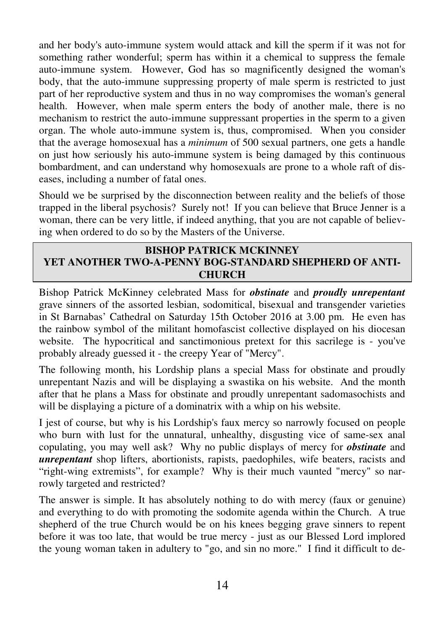and her body's auto-immune system would attack and kill the sperm if it was not for something rather wonderful; sperm has within it a chemical to suppress the female auto-immune system. However, God has so magnificently designed the woman's body, that the auto-immune suppressing property of male sperm is restricted to just part of her reproductive system and thus in no way compromises the woman's general health. However, when male sperm enters the body of another male, there is no mechanism to restrict the auto-immune suppressant properties in the sperm to a given organ. The whole auto-immune system is, thus, compromised. When you consider that the average homosexual has a *minimum* of 500 sexual partners, one gets a handle on just how seriously his auto-immune system is being damaged by this continuous bombardment, and can understand why homosexuals are prone to a whole raft of diseases, including a number of fatal ones.

Should we be surprised by the disconnection between reality and the beliefs of those trapped in the liberal psychosis? Surely not! If you can believe that Bruce Jenner is a woman, there can be very little, if indeed anything, that you are not capable of believing when ordered to do so by the Masters of the Universe.

## **BISHOP PATRICK MCKINNEY YET ANOTHER TWO-A-PENNY BOG-STANDARD SHEPHERD OF ANTI-CHURCH**

Bishop Patrick McKinney celebrated Mass for *obstinate* and *proudly unrepentant* grave sinners of the assorted lesbian, sodomitical, bisexual and transgender varieties in St Barnabas' Cathedral on Saturday 15th October 2016 at 3.00 pm. He even has the rainbow symbol of the militant homofascist collective displayed on his diocesan website. The hypocritical and sanctimonious pretext for this sacrilege is - you've probably already guessed it - the creepy Year of "Mercy".

The following month, his Lordship plans a special Mass for obstinate and proudly unrepentant Nazis and will be displaying a swastika on his website. And the month after that he plans a Mass for obstinate and proudly unrepentant sadomasochists and will be displaying a picture of a dominatrix with a whip on his website.

I jest of course, but why is his Lordship's faux mercy so narrowly focused on people who burn with lust for the unnatural, unhealthy, disgusting vice of same-sex anal copulating, you may well ask? Why no public displays of mercy for *obstinate* and *unrepentant* shop lifters, abortionists, rapists, paedophiles, wife beaters, racists and "right-wing extremists", for example? Why is their much vaunted "mercy" so narrowly targeted and restricted?

The answer is simple. It has absolutely nothing to do with mercy (faux or genuine) and everything to do with promoting the sodomite agenda within the Church. A true shepherd of the true Church would be on his knees begging grave sinners to repent before it was too late, that would be true mercy - just as our Blessed Lord implored the young woman taken in adultery to "go, and sin no more." I find it difficult to de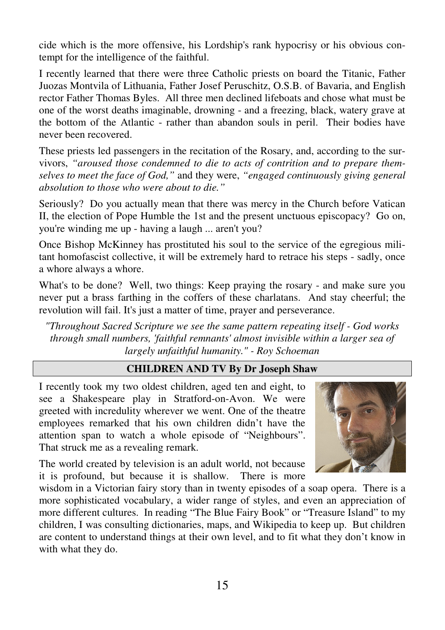cide which is the more offensive, his Lordship's rank hypocrisy or his obvious contempt for the intelligence of the faithful.

I recently learned that there were three Catholic priests on board the Titanic, Father Juozas Montvila of Lithuania, Father Josef Peruschitz, O.S.B. of Bavaria, and English rector Father Thomas Byles. All three men declined lifeboats and chose what must be one of the worst deaths imaginable, drowning - and a freezing, black, watery grave at the bottom of the Atlantic - rather than abandon souls in peril. Their bodies have never been recovered.

These priests led passengers in the recitation of the Rosary, and, according to the survivors, *"aroused those condemned to die to acts of contrition and to prepare themselves to meet the face of God,"* and they were, *"engaged continuously giving general absolution to those who were about to die."* 

Seriously? Do you actually mean that there was mercy in the Church before Vatican II, the election of Pope Humble the 1st and the present unctuous episcopacy? Go on, you're winding me up - having a laugh ... aren't you?

Once Bishop McKinney has prostituted his soul to the service of the egregious militant homofascist collective, it will be extremely hard to retrace his steps - sadly, once a whore always a whore.

What's to be done? Well, two things: Keep praying the rosary - and make sure you never put a brass farthing in the coffers of these charlatans. And stay cheerful; the revolution will fail. It's just a matter of time, prayer and perseverance.

*"Throughout Sacred Scripture we see the same pattern repeating itself - God works through small numbers, 'faithful remnants' almost invisible within a larger sea of largely unfaithful humanity." - Roy Schoeman*

## **CHILDREN AND TV By Dr Joseph Shaw**

I recently took my two oldest children, aged ten and eight, to see a Shakespeare play in Stratford-on-Avon. We were greeted with incredulity wherever we went. One of the theatre employees remarked that his own children didn't have the attention span to watch a whole episode of "Neighbours". That struck me as a revealing remark.

The world created by television is an adult world, not because it is profound, but because it is shallow. There is more



wisdom in a Victorian fairy story than in twenty episodes of a soap opera. There is a more sophisticated vocabulary, a wider range of styles, and even an appreciation of more different cultures. In reading "The Blue Fairy Book" or "Treasure Island" to my children, I was consulting dictionaries, maps, and Wikipedia to keep up. But children are content to understand things at their own level, and to fit what they don't know in with what they do.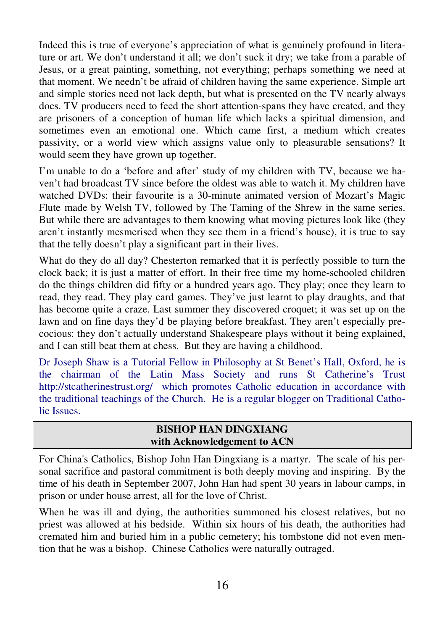Indeed this is true of everyone's appreciation of what is genuinely profound in literature or art. We don't understand it all; we don't suck it dry; we take from a parable of Jesus, or a great painting, something, not everything; perhaps something we need at that moment. We needn't be afraid of children having the same experience. Simple art and simple stories need not lack depth, but what is presented on the TV nearly always does. TV producers need to feed the short attention-spans they have created, and they are prisoners of a conception of human life which lacks a spiritual dimension, and sometimes even an emotional one. Which came first, a medium which creates passivity, or a world view which assigns value only to pleasurable sensations? It would seem they have grown up together.

I'm unable to do a 'before and after' study of my children with TV, because we haven't had broadcast TV since before the oldest was able to watch it. My children have watched DVDs: their favourite is a 30-minute animated version of Mozart's Magic Flute made by Welsh TV, followed by The Taming of the Shrew in the same series. But while there are advantages to them knowing what moving pictures look like (they aren't instantly mesmerised when they see them in a friend's house), it is true to say that the telly doesn't play a significant part in their lives.

What do they do all day? Chesterton remarked that it is perfectly possible to turn the clock back; it is just a matter of effort. In their free time my home-schooled children do the things children did fifty or a hundred years ago. They play; once they learn to read, they read. They play card games. They've just learnt to play draughts, and that has become quite a craze. Last summer they discovered croquet; it was set up on the lawn and on fine days they'd be playing before breakfast. They aren't especially precocious: they don't actually understand Shakespeare plays without it being explained, and I can still beat them at chess. But they are having a childhood.

Dr Joseph Shaw is a Tutorial Fellow in Philosophy at St Benet's Hall, Oxford, he is the chairman of the Latin Mass Society and runs St Catherine's Trust http://stcatherinestrust.org/ which promotes Catholic education in accordance with the traditional teachings of the Church. He is a regular blogger on Traditional Catholic Issues.

#### **BISHOP HAN DINGXIANG with Acknowledgement to ACN**

For China's Catholics, Bishop John Han Dingxiang is a martyr. The scale of his personal sacrifice and pastoral commitment is both deeply moving and inspiring. By the time of his death in September 2007, John Han had spent 30 years in labour camps, in prison or under house arrest, all for the love of Christ.

When he was ill and dying, the authorities summoned his closest relatives, but no priest was allowed at his bedside. Within six hours of his death, the authorities had cremated him and buried him in a public cemetery; his tombstone did not even mention that he was a bishop. Chinese Catholics were naturally outraged.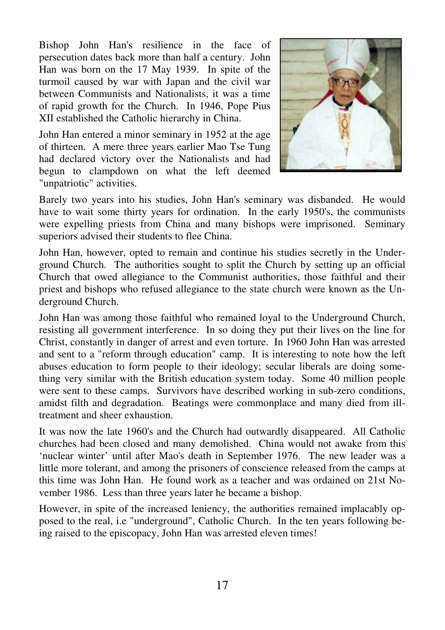Bishop John Han's resilience in the face of persecution dates back more than half a century. John Han was born on the 17 May 1939. In spite of the turmoil caused by war with Japan and the civil war between Communists and Nationalists, it was a time of rapid growth for the Church. In 1946, Pope Pius XII established the Catholic hierarchy in China.

John Han entered a minor seminary in 1952 at the age of thirteen. A mere three years earlier Mao Tse Tung had declared victory over the Nationalists and had begun to clampdown on what the left deemed "unpatriotic" activities.



Barely two years into his studies, John Han's seminary was disbanded. He would have to wait some thirty years for ordination. In the early 1950's, the communists were expelling priests from China and many bishops were imprisoned. Seminary superiors advised their students to flee China.

John Han, however, opted to remain and continue his studies secretly in the Underground Church. The authorities sought to split the Church by setting up an official Church that owed allegiance to the Communist authorities, those faithful and their priest and bishops who refused allegiance to the state church were known as the Underground Church.

John Han was among those faithful who remained loyal to the Underground Church, resisting all government interference. In so doing they put their lives on the line for Christ, constantly in danger of arrest and even torture. In 1960 John Han was arrested and sent to a "reform through education" camp. It is interesting to note how the left abuses education to form people to their ideology; secular liberals are doing something very similar with the British education system today. Some 40 million people were sent to these camps. Survivors have described working in sub-zero conditions, amidst filth and degradation. Beatings were commonplace and many died from illtreatment and sheer exhaustion.

It was now the late 1960's and the Church had outwardly disappeared. All Catholic churches had been closed and many demolished. China would not awake from this 'nuclear winter' until after Mao's death in September 1976. The new leader was a little more tolerant, and among the prisoners of conscience released from the camps at this time was John Han. He found work as a teacher and was ordained on 21st November 1986. Less than three years later he became a bishop.

However, in spite of the increased leniency, the authorities remained implacably opposed to the real, i.e "underground", Catholic Church. In the ten years following being raised to the episcopacy, John Han was arrested eleven times!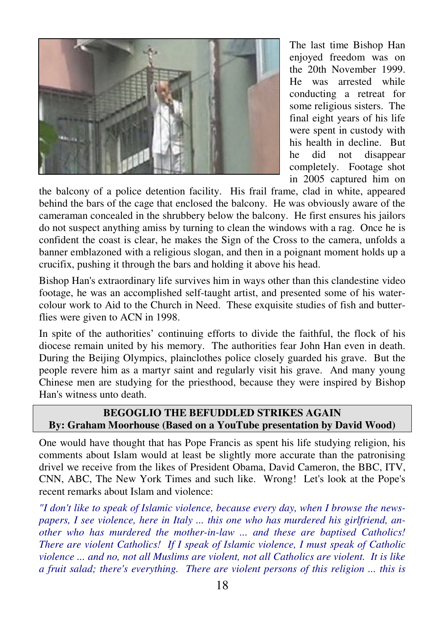

The last time Bishop Han enjoyed freedom was on the 20th November 1999. He was arrested while conducting a retreat for some religious sisters. The final eight years of his life were spent in custody with his health in decline. But he did not disappear completely. Footage shot in 2005 captured him on

the balcony of a police detention facility. His frail frame, clad in white, appeared behind the bars of the cage that enclosed the balcony. He was obviously aware of the cameraman concealed in the shrubbery below the balcony. He first ensures his jailors do not suspect anything amiss by turning to clean the windows with a rag. Once he is confident the coast is clear, he makes the Sign of the Cross to the camera, unfolds a banner emblazoned with a religious slogan, and then in a poignant moment holds up a crucifix, pushing it through the bars and holding it above his head.

Bishop Han's extraordinary life survives him in ways other than this clandestine video footage, he was an accomplished self-taught artist, and presented some of his watercolour work to Aid to the Church in Need. These exquisite studies of fish and butterflies were given to ACN in 1998.

In spite of the authorities' continuing efforts to divide the faithful, the flock of his diocese remain united by his memory. The authorities fear John Han even in death. During the Beijing Olympics, plainclothes police closely guarded his grave. But the people revere him as a martyr saint and regularly visit his grave. And many young Chinese men are studying for the priesthood, because they were inspired by Bishop Han's witness unto death.

## **BEGOGLIO THE BEFUDDLED STRIKES AGAIN By: Graham Moorhouse (Based on a YouTube presentation by David Wood)**

One would have thought that has Pope Francis as spent his life studying religion, his comments about Islam would at least be slightly more accurate than the patronising drivel we receive from the likes of President Obama, David Cameron, the BBC, ITV, CNN, ABC, The New York Times and such like. Wrong! Let's look at the Pope's recent remarks about Islam and violence:

*"I don't like to speak of Islamic violence, because every day, when I browse the newspapers, I see violence, here in Italy ... this one who has murdered his girlfriend, another who has murdered the mother-in-law ... and these are baptised Catholics! There are violent Catholics! If I speak of Islamic violence, I must speak of Catholic violence ... and no, not all Muslims are violent, not all Catholics are violent. It is like a fruit salad; there's everything. There are violent persons of this religion ... this is*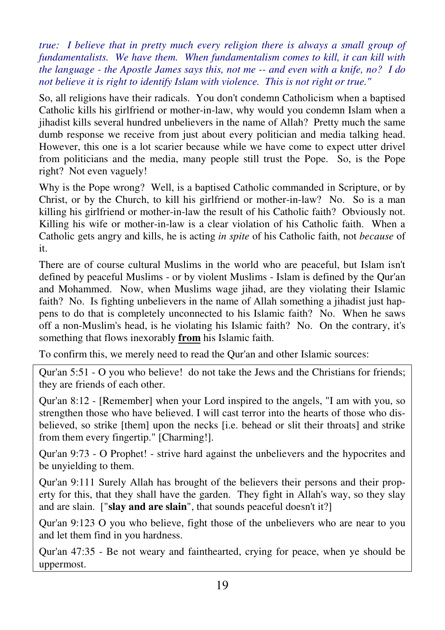*true: I believe that in pretty much every religion there is always a small group of fundamentalists. We have them. When fundamentalism comes to kill, it can kill with the language - the Apostle James says this, not me -- and even with a knife, no? I do not believe it is right to identify Islam with violence. This is not right or true."* 

So, all religions have their radicals. You don't condemn Catholicism when a baptised Catholic kills his girlfriend or mother-in-law, why would you condemn Islam when a jihadist kills several hundred unbelievers in the name of Allah? Pretty much the same dumb response we receive from just about every politician and media talking head. However, this one is a lot scarier because while we have come to expect utter drivel from politicians and the media, many people still trust the Pope. So, is the Pope right? Not even vaguely!

Why is the Pope wrong? Well, is a baptised Catholic commanded in Scripture, or by Christ, or by the Church, to kill his girlfriend or mother-in-law? No. So is a man killing his girlfriend or mother-in-law the result of his Catholic faith? Obviously not. Killing his wife or mother-in-law is a clear violation of his Catholic faith. When a Catholic gets angry and kills, he is acting *in spite* of his Catholic faith, not *because* of it.

There are of course cultural Muslims in the world who are peaceful, but Islam isn't defined by peaceful Muslims - or by violent Muslims - Islam is defined by the Qur'an and Mohammed. Now, when Muslims wage jihad, are they violating their Islamic faith? No. Is fighting unbelievers in the name of Allah something a jihadist just happens to do that is completely unconnected to his Islamic faith? No. When he saws off a non-Muslim's head, is he violating his Islamic faith? No. On the contrary, it's something that flows inexorably **from** his Islamic faith.

To confirm this, we merely need to read the Qur'an and other Islamic sources:

Qur'an 5:51 - O you who believe! do not take the Jews and the Christians for friends; they are friends of each other.

Qur'an 8:12 - [Remember] when your Lord inspired to the angels, "I am with you, so strengthen those who have believed. I will cast terror into the hearts of those who disbelieved, so strike [them] upon the necks [i.e. behead or slit their throats] and strike from them every fingertip." [Charming!].

Qur'an 9:73 - O Prophet! - strive hard against the unbelievers and the hypocrites and be unyielding to them.

Qur'an 9:111 Surely Allah has brought of the believers their persons and their property for this, that they shall have the garden. They fight in Allah's way, so they slay and are slain. ["**slay and are slain**", that sounds peaceful doesn't it?]

Qur'an 9:123 O you who believe, fight those of the unbelievers who are near to you and let them find in you hardness.

Qur'an 47:35 - Be not weary and fainthearted, crying for peace, when ye should be uppermost.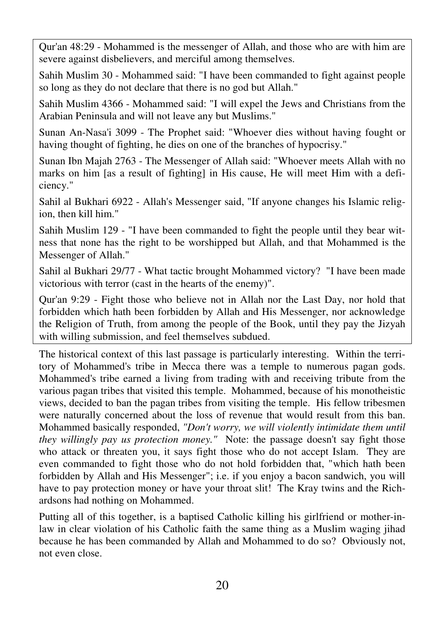Qur'an 48:29 - Mohammed is the messenger of Allah, and those who are with him are severe against disbelievers, and merciful among themselves.

Sahih Muslim 30 - Mohammed said: "I have been commanded to fight against people so long as they do not declare that there is no god but Allah."

Sahih Muslim 4366 - Mohammed said: "I will expel the Jews and Christians from the Arabian Peninsula and will not leave any but Muslims."

Sunan An-Nasa'i 3099 - The Prophet said: "Whoever dies without having fought or having thought of fighting, he dies on one of the branches of hypocrisy."

Sunan Ibn Majah 2763 - The Messenger of Allah said: "Whoever meets Allah with no marks on him [as a result of fighting] in His cause, He will meet Him with a deficiency."

Sahil al Bukhari 6922 - Allah's Messenger said, "If anyone changes his Islamic religion, then kill him."

Sahih Muslim 129 - "I have been commanded to fight the people until they bear witness that none has the right to be worshipped but Allah, and that Mohammed is the Messenger of Allah."

Sahil al Bukhari 29/77 - What tactic brought Mohammed victory? "I have been made victorious with terror (cast in the hearts of the enemy)".

Qur'an 9:29 - Fight those who believe not in Allah nor the Last Day, nor hold that forbidden which hath been forbidden by Allah and His Messenger, nor acknowledge the Religion of Truth, from among the people of the Book, until they pay the Jizyah with willing submission, and feel themselves subdued.

The historical context of this last passage is particularly interesting. Within the territory of Mohammed's tribe in Mecca there was a temple to numerous pagan gods. Mohammed's tribe earned a living from trading with and receiving tribute from the various pagan tribes that visited this temple. Mohammed, because of his monotheistic views, decided to ban the pagan tribes from visiting the temple. His fellow tribesmen were naturally concerned about the loss of revenue that would result from this ban. Mohammed basically responded, *"Don't worry, we will violently intimidate them until they willingly pay us protection money."* Note: the passage doesn't say fight those who attack or threaten you, it says fight those who do not accept Islam. They are even commanded to fight those who do not hold forbidden that, "which hath been forbidden by Allah and His Messenger"; i.e. if you enjoy a bacon sandwich, you will have to pay protection money or have your throat slit! The Kray twins and the Richardsons had nothing on Mohammed.

Putting all of this together, is a baptised Catholic killing his girlfriend or mother-inlaw in clear violation of his Catholic faith the same thing as a Muslim waging jihad because he has been commanded by Allah and Mohammed to do so? Obviously not, not even close.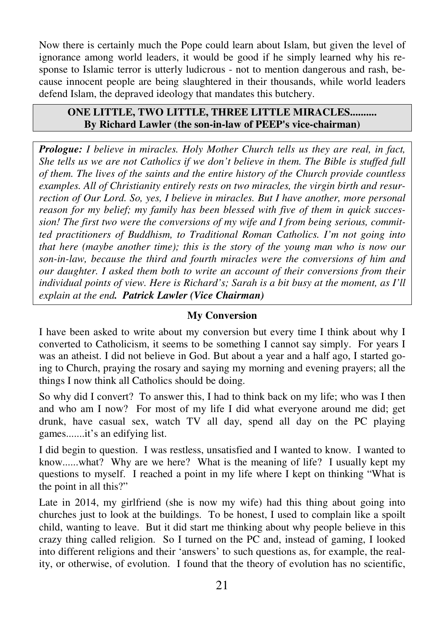Now there is certainly much the Pope could learn about Islam, but given the level of ignorance among world leaders, it would be good if he simply learned why his response to Islamic terror is utterly ludicrous - not to mention dangerous and rash, because innocent people are being slaughtered in their thousands, while world leaders defend Islam, the depraved ideology that mandates this butchery.

#### **ONE LITTLE, TWO LITTLE, THREE LITTLE MIRACLES.......... By Richard Lawler (the son-in-law of PEEP's vice-chairman)**

*Prologue: I believe in miracles. Holy Mother Church tells us they are real, in fact, She tells us we are not Catholics if we don't believe in them. The Bible is stuffed full of them. The lives of the saints and the entire history of the Church provide countless examples. All of Christianity entirely rests on two miracles, the virgin birth and resurrection of Our Lord. So, yes, I believe in miracles. But I have another, more personal reason for my belief; my family has been blessed with five of them in quick succession! The first two were the conversions of my wife and I from being serious, committed practitioners of Buddhism, to Traditional Roman Catholics. I'm not going into that here (maybe another time); this is the story of the young man who is now our son-in-law, because the third and fourth miracles were the conversions of him and our daughter. I asked them both to write an account of their conversions from their individual points of view. Here is Richard's; Sarah is a bit busy at the moment, as I'll explain at the end. Patrick Lawler (Vice Chairman)* 

#### **My Conversion**

I have been asked to write about my conversion but every time I think about why I converted to Catholicism, it seems to be something I cannot say simply. For years I was an atheist. I did not believe in God. But about a year and a half ago, I started going to Church, praying the rosary and saying my morning and evening prayers; all the things I now think all Catholics should be doing.

So why did I convert? To answer this, I had to think back on my life; who was I then and who am I now? For most of my life I did what everyone around me did; get drunk, have casual sex, watch TV all day, spend all day on the PC playing games.......it's an edifying list.

I did begin to question. I was restless, unsatisfied and I wanted to know. I wanted to know......what? Why are we here? What is the meaning of life? I usually kept my questions to myself. I reached a point in my life where I kept on thinking "What is the point in all this?"

Late in 2014, my girlfriend (she is now my wife) had this thing about going into churches just to look at the buildings. To be honest, I used to complain like a spoilt child, wanting to leave. But it did start me thinking about why people believe in this crazy thing called religion. So I turned on the PC and, instead of gaming, I looked into different religions and their 'answers' to such questions as, for example, the reality, or otherwise, of evolution. I found that the theory of evolution has no scientific,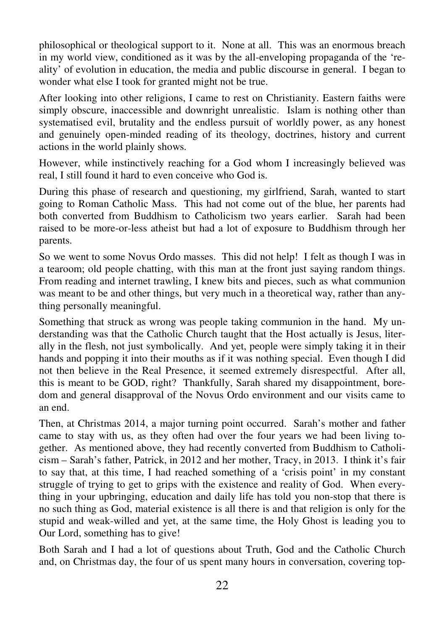philosophical or theological support to it. None at all. This was an enormous breach in my world view, conditioned as it was by the all-enveloping propaganda of the 'reality' of evolution in education, the media and public discourse in general. I began to wonder what else I took for granted might not be true.

After looking into other religions, I came to rest on Christianity. Eastern faiths were simply obscure, inaccessible and downright unrealistic. Islam is nothing other than systematised evil, brutality and the endless pursuit of worldly power, as any honest and genuinely open-minded reading of its theology, doctrines, history and current actions in the world plainly shows.

However, while instinctively reaching for a God whom I increasingly believed was real, I still found it hard to even conceive who God is.

During this phase of research and questioning, my girlfriend, Sarah, wanted to start going to Roman Catholic Mass. This had not come out of the blue, her parents had both converted from Buddhism to Catholicism two years earlier. Sarah had been raised to be more-or-less atheist but had a lot of exposure to Buddhism through her parents.

So we went to some Novus Ordo masses. This did not help! I felt as though I was in a tearoom; old people chatting, with this man at the front just saying random things. From reading and internet trawling, I knew bits and pieces, such as what communion was meant to be and other things, but very much in a theoretical way, rather than anything personally meaningful.

Something that struck as wrong was people taking communion in the hand. My understanding was that the Catholic Church taught that the Host actually is Jesus, literally in the flesh, not just symbolically. And yet, people were simply taking it in their hands and popping it into their mouths as if it was nothing special. Even though I did not then believe in the Real Presence, it seemed extremely disrespectful. After all, this is meant to be GOD, right? Thankfully, Sarah shared my disappointment, boredom and general disapproval of the Novus Ordo environment and our visits came to an end.

Then, at Christmas 2014, a major turning point occurred. Sarah's mother and father came to stay with us, as they often had over the four years we had been living together. As mentioned above, they had recently converted from Buddhism to Catholicism – Sarah's father, Patrick, in 2012 and her mother, Tracy, in 2013. I think it's fair to say that, at this time, I had reached something of a 'crisis point' in my constant struggle of trying to get to grips with the existence and reality of God. When everything in your upbringing, education and daily life has told you non-stop that there is no such thing as God, material existence is all there is and that religion is only for the stupid and weak-willed and yet, at the same time, the Holy Ghost is leading you to Our Lord, something has to give!

Both Sarah and I had a lot of questions about Truth, God and the Catholic Church and, on Christmas day, the four of us spent many hours in conversation, covering top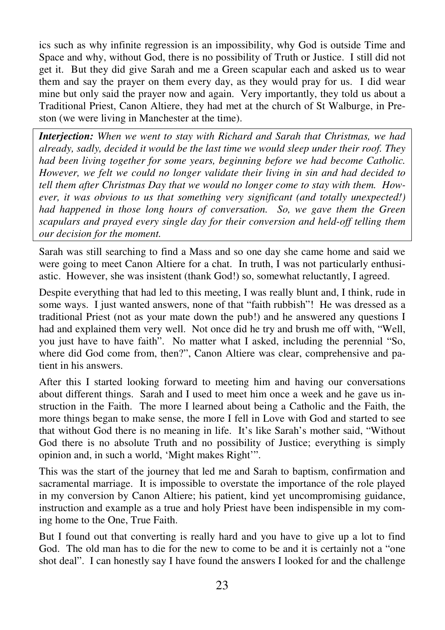ics such as why infinite regression is an impossibility, why God is outside Time and Space and why, without God, there is no possibility of Truth or Justice. I still did not get it. But they did give Sarah and me a Green scapular each and asked us to wear them and say the prayer on them every day, as they would pray for us. I did wear mine but only said the prayer now and again. Very importantly, they told us about a Traditional Priest, Canon Altiere, they had met at the church of St Walburge, in Preston (we were living in Manchester at the time).

*Interjection: When we went to stay with Richard and Sarah that Christmas, we had already, sadly, decided it would be the last time we would sleep under their roof. They had been living together for some years, beginning before we had become Catholic. However, we felt we could no longer validate their living in sin and had decided to tell them after Christmas Day that we would no longer come to stay with them. However, it was obvious to us that something very significant (and totally unexpected!) had happened in those long hours of conversation. So, we gave them the Green scapulars and prayed every single day for their conversion and held-off telling them our decision for the moment.* 

Sarah was still searching to find a Mass and so one day she came home and said we were going to meet Canon Altiere for a chat. In truth, I was not particularly enthusiastic. However, she was insistent (thank God!) so, somewhat reluctantly, I agreed.

Despite everything that had led to this meeting, I was really blunt and, I think, rude in some ways. I just wanted answers, none of that "faith rubbish"! He was dressed as a traditional Priest (not as your mate down the pub!) and he answered any questions I had and explained them very well. Not once did he try and brush me off with, "Well, you just have to have faith". No matter what I asked, including the perennial "So, where did God come from, then?", Canon Altiere was clear, comprehensive and patient in his answers.

After this I started looking forward to meeting him and having our conversations about different things. Sarah and I used to meet him once a week and he gave us instruction in the Faith. The more I learned about being a Catholic and the Faith, the more things began to make sense, the more I fell in Love with God and started to see that without God there is no meaning in life. It's like Sarah's mother said, "Without God there is no absolute Truth and no possibility of Justice; everything is simply opinion and, in such a world, 'Might makes Right'".

This was the start of the journey that led me and Sarah to baptism, confirmation and sacramental marriage. It is impossible to overstate the importance of the role played in my conversion by Canon Altiere; his patient, kind yet uncompromising guidance, instruction and example as a true and holy Priest have been indispensible in my coming home to the One, True Faith.

But I found out that converting is really hard and you have to give up a lot to find God. The old man has to die for the new to come to be and it is certainly not a "one shot deal". I can honestly say I have found the answers I looked for and the challenge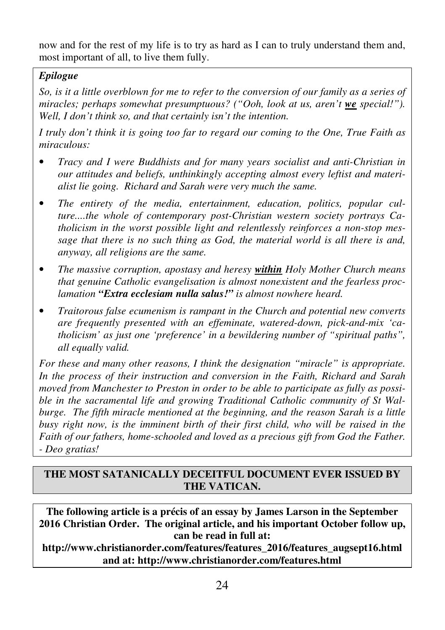now and for the rest of my life is to try as hard as I can to truly understand them and, most important of all, to live them fully.

## *Epilogue*

*So, is it a little overblown for me to refer to the conversion of our family as a series of miracles; perhaps somewhat presumptuous? ("Ooh, look at us, aren't we special!"). Well, I don't think so, and that certainly isn't the intention.* 

*I truly don't think it is going too far to regard our coming to the One, True Faith as miraculous:* 

- *Tracy and I were Buddhists and for many years socialist and anti-Christian in our attitudes and beliefs, unthinkingly accepting almost every leftist and materialist lie going. Richard and Sarah were very much the same.*
- *The entirety of the media, entertainment, education, politics, popular culture....the whole of contemporary post-Christian western society portrays Catholicism in the worst possible light and relentlessly reinforces a non-stop message that there is no such thing as God, the material world is all there is and, anyway, all religions are the same.*
- *The massive corruption, apostasy and heresy within Holy Mother Church means that genuine Catholic evangelisation is almost nonexistent and the fearless proclamation "Extra ecclesiam nulla salus!" is almost nowhere heard.*
- *Traitorous false ecumenism is rampant in the Church and potential new converts are frequently presented with an effeminate, watered-down, pick-and-mix 'catholicism' as just one 'preference' in a bewildering number of "spiritual paths", all equally valid.*

*For these and many other reasons, I think the designation "miracle" is appropriate. In the process of their instruction and conversion in the Faith, Richard and Sarah moved from Manchester to Preston in order to be able to participate as fully as possible in the sacramental life and growing Traditional Catholic community of St Walburge. The fifth miracle mentioned at the beginning, and the reason Sarah is a little busy right now, is the imminent birth of their first child, who will be raised in the Faith of our fathers, home-schooled and loved as a precious gift from God the Father. - Deo gratias!* 

## **THE MOST SATANICALLY DECEITFUL DOCUMENT EVER ISSUED BY THE VATICAN.**

**The following article is a précis of an essay by James Larson in the September 2016 Christian Order. The original article, and his important October follow up, can be read in full at:** 

**http://www.christianorder.com/features/features\_2016/features\_augsept16.html and at: http://www.christianorder.com/features.html**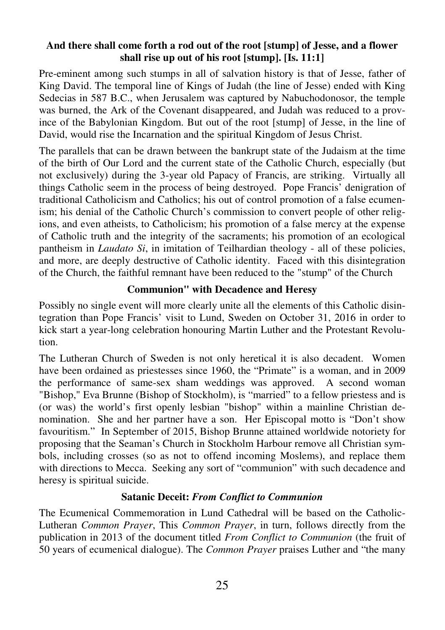#### **And there shall come forth a rod out of the root [stump] of Jesse, and a flower shall rise up out of his root [stump]. [Is. 11:1]**

Pre-eminent among such stumps in all of salvation history is that of Jesse, father of King David. The temporal line of Kings of Judah (the line of Jesse) ended with King Sedecias in 587 B.C., when Jerusalem was captured by Nabuchodonosor, the temple was burned, the Ark of the Covenant disappeared, and Judah was reduced to a province of the Babylonian Kingdom. But out of the root [stump] of Jesse, in the line of David, would rise the Incarnation and the spiritual Kingdom of Jesus Christ.

The parallels that can be drawn between the bankrupt state of the Judaism at the time of the birth of Our Lord and the current state of the Catholic Church, especially (but not exclusively) during the 3-year old Papacy of Francis, are striking. Virtually all things Catholic seem in the process of being destroyed. Pope Francis' denigration of traditional Catholicism and Catholics; his out of control promotion of a false ecumenism; his denial of the Catholic Church's commission to convert people of other religions, and even atheists, to Catholicism; his promotion of a false mercy at the expense of Catholic truth and the integrity of the sacraments; his promotion of an ecological pantheism in *Laudato Si*, in imitation of Teilhardian theology - all of these policies, and more, are deeply destructive of Catholic identity. Faced with this disintegration of the Church, the faithful remnant have been reduced to the "stump" of the Church

#### **Communion" with Decadence and Heresy**

Possibly no single event will more clearly unite all the elements of this Catholic disintegration than Pope Francis' visit to Lund, Sweden on October 31, 2016 in order to kick start a year-long celebration honouring Martin Luther and the Protestant Revolution.

The Lutheran Church of Sweden is not only heretical it is also decadent. Women have been ordained as priestesses since 1960, the "Primate" is a woman, and in 2009 the performance of same-sex sham weddings was approved. A second woman "Bishop," Eva Brunne (Bishop of Stockholm), is "married" to a fellow priestess and is (or was) the world's first openly lesbian "bishop" within a mainline Christian denomination. She and her partner have a son. Her Episcopal motto is "Don't show favouritism." In September of 2015, Bishop Brunne attained worldwide notoriety for proposing that the Seaman's Church in Stockholm Harbour remove all Christian symbols, including crosses (so as not to offend incoming Moslems), and replace them with directions to Mecca. Seeking any sort of "communion" with such decadence and heresy is spiritual suicide.

#### **Satanic Deceit:** *From Conflict to Communion*

The Ecumenical Commemoration in Lund Cathedral will be based on the Catholic-Lutheran *Common Prayer*, This *Common Prayer*, in turn, follows directly from the publication in 2013 of the document titled *From Conflict to Communion* (the fruit of 50 years of ecumenical dialogue). The *Common Prayer* praises Luther and "the many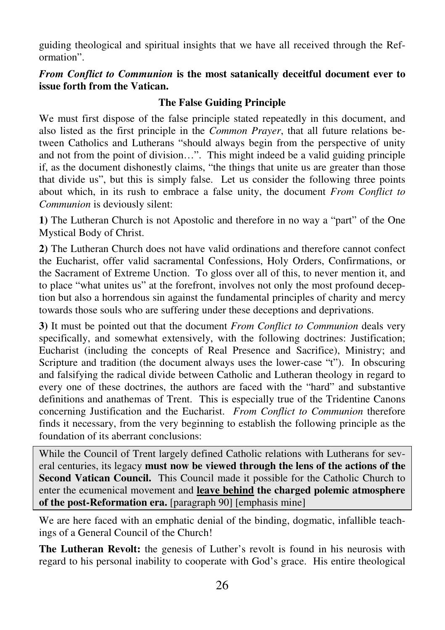guiding theological and spiritual insights that we have all received through the Reformation".

*From Conflict to Communion* **is the most satanically deceitful document ever to issue forth from the Vatican.**

## **The False Guiding Principle**

We must first dispose of the false principle stated repeatedly in this document, and also listed as the first principle in the *Common Prayer*, that all future relations between Catholics and Lutherans "should always begin from the perspective of unity and not from the point of division…". This might indeed be a valid guiding principle if, as the document dishonestly claims, "the things that unite us are greater than those that divide us", but this is simply false. Let us consider the following three points about which, in its rush to embrace a false unity, the document *From Conflict to Communion* is deviously silent:

**1)** The Lutheran Church is not Apostolic and therefore in no way a "part" of the One Mystical Body of Christ.

**2)** The Lutheran Church does not have valid ordinations and therefore cannot confect the Eucharist, offer valid sacramental Confessions, Holy Orders, Confirmations, or the Sacrament of Extreme Unction. To gloss over all of this, to never mention it, and to place "what unites us" at the forefront, involves not only the most profound deception but also a horrendous sin against the fundamental principles of charity and mercy towards those souls who are suffering under these deceptions and deprivations.

**3)** It must be pointed out that the document *From Conflict to Communion* deals very specifically, and somewhat extensively, with the following doctrines: Justification; Eucharist (including the concepts of Real Presence and Sacrifice), Ministry; and Scripture and tradition (the document always uses the lower-case "t"). In obscuring and falsifying the radical divide between Catholic and Lutheran theology in regard to every one of these doctrines, the authors are faced with the "hard" and substantive definitions and anathemas of Trent. This is especially true of the Tridentine Canons concerning Justification and the Eucharist. *From Conflict to Communion* therefore finds it necessary, from the very beginning to establish the following principle as the foundation of its aberrant conclusions:

While the Council of Trent largely defined Catholic relations with Lutherans for several centuries, its legacy **must now be viewed through the lens of the actions of the Second Vatican Council.** This Council made it possible for the Catholic Church to enter the ecumenical movement and **leave behind the charged polemic atmosphere of the post-Reformation era.** [paragraph 90] [emphasis mine]

We are here faced with an emphatic denial of the binding, dogmatic, infallible teachings of a General Council of the Church!

**The Lutheran Revolt:** the genesis of Luther's revolt is found in his neurosis with regard to his personal inability to cooperate with God's grace. His entire theological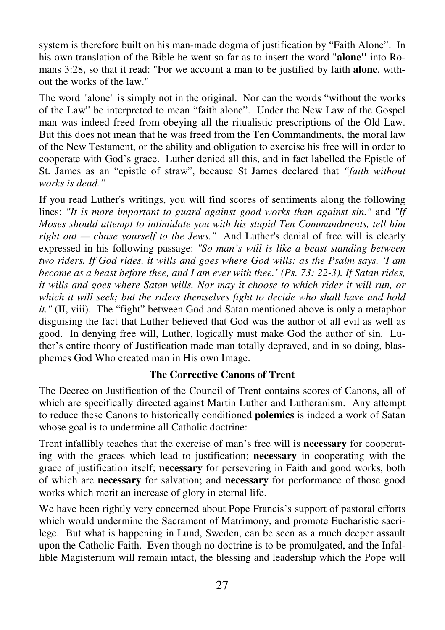system is therefore built on his man-made dogma of justification by "Faith Alone". In his own translation of the Bible he went so far as to insert the word "**alone"** into Romans 3:28, so that it read: "For we account a man to be justified by faith **alone**, without the works of the law."

The word "alone" is simply not in the original. Nor can the words "without the works of the Law" be interpreted to mean "faith alone". Under the New Law of the Gospel man was indeed freed from obeying all the ritualistic prescriptions of the Old Law. But this does not mean that he was freed from the Ten Commandments, the moral law of the New Testament, or the ability and obligation to exercise his free will in order to cooperate with God's grace. Luther denied all this, and in fact labelled the Epistle of St. James as an "epistle of straw", because St James declared that *"faith without works is dead."* 

If you read Luther's writings, you will find scores of sentiments along the following lines: *"It is more important to guard against good works than against sin."* and *"If Moses should attempt to intimidate you with his stupid Ten Commandments, tell him right out — chase yourself to the Jews."* And Luther's denial of free will is clearly expressed in his following passage: *"So man's will is like a beast standing between two riders. If God rides, it wills and goes where God wills: as the Psalm says, 'I am become as a beast before thee, and I am ever with thee.' (Ps. 73: 22-3). If Satan rides, it wills and goes where Satan wills. Nor may it choose to which rider it will run, or which it will seek; but the riders themselves fight to decide who shall have and hold it."* (II, viii). The "fight" between God and Satan mentioned above is only a metaphor disguising the fact that Luther believed that God was the author of all evil as well as good. In denying free will, Luther, logically must make God the author of sin. Luther's entire theory of Justification made man totally depraved, and in so doing, blasphemes God Who created man in His own Image.

#### **The Corrective Canons of Trent**

The Decree on Justification of the Council of Trent contains scores of Canons, all of which are specifically directed against Martin Luther and Lutheranism. Any attempt to reduce these Canons to historically conditioned **polemics** is indeed a work of Satan whose goal is to undermine all Catholic doctrine:

Trent infallibly teaches that the exercise of man's free will is **necessary** for cooperating with the graces which lead to justification; **necessary** in cooperating with the grace of justification itself; **necessary** for persevering in Faith and good works, both of which are **necessary** for salvation; and **necessary** for performance of those good works which merit an increase of glory in eternal life.

We have been rightly very concerned about Pope Francis's support of pastoral efforts which would undermine the Sacrament of Matrimony, and promote Eucharistic sacrilege. But what is happening in Lund, Sweden, can be seen as a much deeper assault upon the Catholic Faith. Even though no doctrine is to be promulgated, and the Infallible Magisterium will remain intact, the blessing and leadership which the Pope will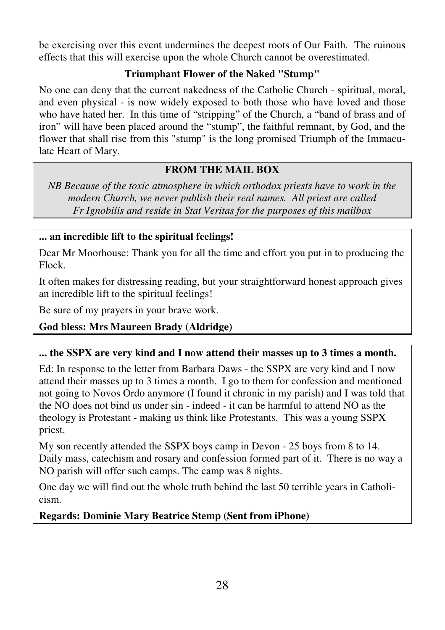be exercising over this event undermines the deepest roots of Our Faith. The ruinous effects that this will exercise upon the whole Church cannot be overestimated.

## **Triumphant Flower of the Naked "Stump"**

No one can deny that the current nakedness of the Catholic Church - spiritual, moral, and even physical - is now widely exposed to both those who have loved and those who have hated her. In this time of "stripping" of the Church, a "band of brass and of iron" will have been placed around the "stump", the faithful remnant, by God, and the flower that shall rise from this "stump" is the long promised Triumph of the Immaculate Heart of Mary.

## **FROM THE MAIL BOX**

*NB Because of the toxic atmosphere in which orthodox priests have to work in the modern Church, we never publish their real names. All priest are called Fr Ignobilis and reside in Stat Veritas for the purposes of this mailbox* 

## **... an incredible lift to the spiritual feelings!**

Dear Mr Moorhouse: Thank you for all the time and effort you put in to producing the Flock.

It often makes for distressing reading, but your straightforward honest approach gives an incredible lift to the spiritual feelings!

Be sure of my prayers in your brave work.

# **God bless: Mrs Maureen Brady (Aldridge)**

## **... the SSPX are very kind and I now attend their masses up to 3 times a month.**

Ed: In response to the letter from Barbara Daws - the SSPX are very kind and I now attend their masses up to 3 times a month. I go to them for confession and mentioned not going to Novos Ordo anymore (I found it chronic in my parish) and I was told that the NO does not bind us under sin - indeed - it can be harmful to attend NO as the theology is Protestant - making us think like Protestants. This was a young SSPX priest.

My son recently attended the SSPX boys camp in Devon - 25 boys from 8 to 14. Daily mass, catechism and rosary and confession formed part of it. There is no way a NO parish will offer such camps. The camp was 8 nights.

One day we will find out the whole truth behind the last 50 terrible years in Catholicism.

**Regards: Dominie Mary Beatrice Stemp (Sent from iPhone)**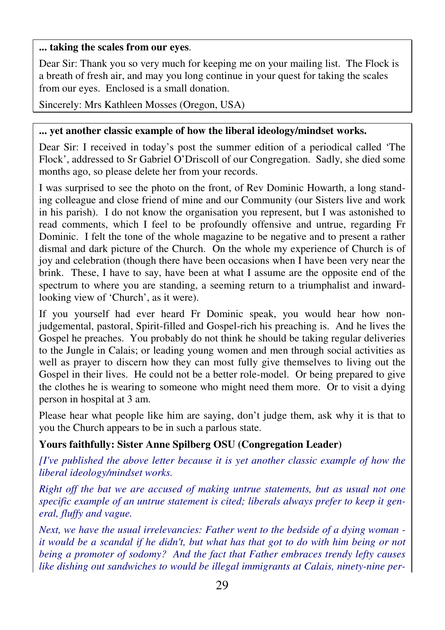#### **... taking the scales from our eyes**.

Dear Sir: Thank you so very much for keeping me on your mailing list. The Flock is a breath of fresh air, and may you long continue in your quest for taking the scales from our eyes. Enclosed is a small donation.

Sincerely: Mrs Kathleen Mosses (Oregon, USA)

#### **... yet another classic example of how the liberal ideology/mindset works.**

Dear Sir: I received in today's post the summer edition of a periodical called 'The Flock', addressed to Sr Gabriel O'Driscoll of our Congregation. Sadly, she died some months ago, so please delete her from your records.

I was surprised to see the photo on the front, of Rev Dominic Howarth, a long standing colleague and close friend of mine and our Community (our Sisters live and work in his parish). I do not know the organisation you represent, but I was astonished to read comments, which I feel to be profoundly offensive and untrue, regarding Fr Dominic. I felt the tone of the whole magazine to be negative and to present a rather dismal and dark picture of the Church. On the whole my experience of Church is of joy and celebration (though there have been occasions when I have been very near the brink. These, I have to say, have been at what I assume are the opposite end of the spectrum to where you are standing, a seeming return to a triumphalist and inwardlooking view of 'Church', as it were).

If you yourself had ever heard Fr Dominic speak, you would hear how nonjudgemental, pastoral, Spirit-filled and Gospel-rich his preaching is. And he lives the Gospel he preaches. You probably do not think he should be taking regular deliveries to the Jungle in Calais; or leading young women and men through social activities as well as prayer to discern how they can most fully give themselves to living out the Gospel in their lives. He could not be a better role-model. Or being prepared to give the clothes he is wearing to someone who might need them more. Or to visit a dying person in hospital at 3 am.

Please hear what people like him are saying, don't judge them, ask why it is that to you the Church appears to be in such a parlous state.

## **Yours faithfully: Sister Anne Spilberg OSU (Congregation Leader)**

*[I've published the above letter because it is yet another classic example of how the liberal ideology/mindset works.* 

*Right off the bat we are accused of making untrue statements, but as usual not one specific example of an untrue statement is cited; liberals always prefer to keep it general, fluffy and vague.* 

*Next, we have the usual irrelevancies: Father went to the bedside of a dying woman it would be a scandal if he didn't, but what has that got to do with him being or not being a promoter of sodomy? And the fact that Father embraces trendy lefty causes like dishing out sandwiches to would be illegal immigrants at Calais, ninety-nine per-*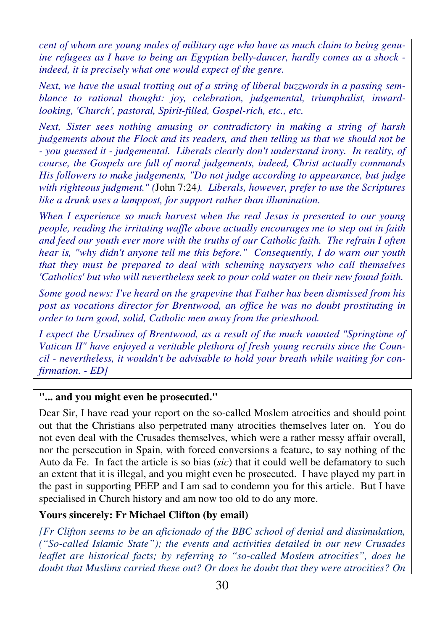*cent of whom are young males of military age who have as much claim to being genuine refugees as I have to being an Egyptian belly-dancer, hardly comes as a shock indeed, it is precisely what one would expect of the genre.* 

*Next, we have the usual trotting out of a string of liberal buzzwords in a passing semblance to rational thought: joy, celebration, judgemental, triumphalist, inwardlooking, 'Church', pastoral, Spirit-filled, Gospel-rich, etc., etc.* 

*Next, Sister sees nothing amusing or contradictory in making a string of harsh judgements about the Flock and its readers, and then telling us that we should not be - you guessed it - judgemental. Liberals clearly don't understand irony. In reality, of course, the Gospels are full of moral judgements, indeed, Christ actually commands His followers to make judgements, "Do not judge according to appearance, but judge with righteous judgment." (*John 7:24*). Liberals, however, prefer to use the Scriptures like a drunk uses a lamppost, for support rather than illumination.* 

*When I experience so much harvest when the real Jesus is presented to our young people, reading the irritating waffle above actually encourages me to step out in faith and feed our youth ever more with the truths of our Catholic faith. The refrain I often hear is, "why didn't anyone tell me this before." Consequently, I do warn our youth that they must be prepared to deal with scheming naysayers who call themselves 'Catholics' but who will nevertheless seek to pour cold water on their new found faith.* 

*Some good news: I've heard on the grapevine that Father has been dismissed from his*  post as vocations director for Brentwood, an office he was no doubt prostituting in *order to turn good, solid, Catholic men away from the priesthood.* 

*I expect the Ursulines of Brentwood, as a result of the much vaunted "Springtime of Vatican II" have enjoyed a veritable plethora of fresh young recruits since the Council - nevertheless, it wouldn't be advisable to hold your breath while waiting for confirmation. - ED]* 

#### **"... and you might even be prosecuted."**

Dear Sir, I have read your report on the so-called Moslem atrocities and should point out that the Christians also perpetrated many atrocities themselves later on. You do not even deal with the Crusades themselves, which were a rather messy affair overall, nor the persecution in Spain, with forced conversions a feature, to say nothing of the Auto da Fe. In fact the article is so bias (*sic*) that it could well be defamatory to such an extent that it is illegal, and you might even be prosecuted. I have played my part in the past in supporting PEEP and I am sad to condemn you for this article. But I have specialised in Church history and am now too old to do any more.

#### **Yours sincerely: Fr Michael Clifton (by email)**

*[Fr Clifton seems to be an aficionado of the BBC school of denial and dissimulation, ("So-called Islamic State"); the events and activities detailed in our new Crusades leaflet are historical facts; by referring to "so-called Moslem atrocities", does he doubt that Muslims carried these out? Or does he doubt that they were atrocities? On*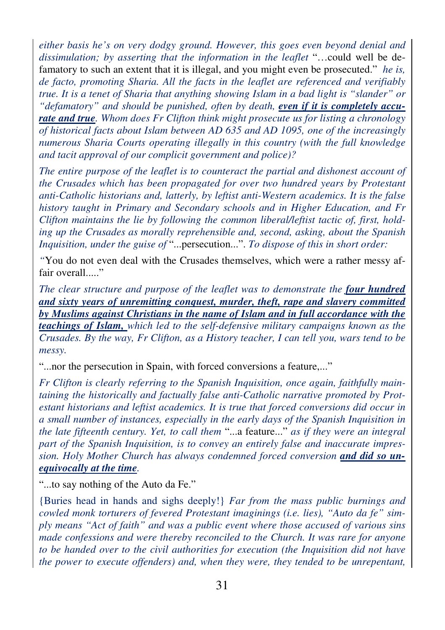*either basis he's on very dodgy ground. However, this goes even beyond denial and dissimulation; by asserting that the information in the leaflet* "…could well be defamatory to such an extent that it is illegal, and you might even be prosecuted." *he is, de facto, promoting Sharia. All the facts in the leaflet are referenced and verifiably true. It is a tenet of Sharia that anything showing Islam in a bad light is "slander" or "defamatory" and should be punished, often by death, even if it is completely accurate and true. Whom does Fr Clifton think might prosecute us for listing a chronology of historical facts about Islam between AD 635 and AD 1095, one of the increasingly numerous Sharia Courts operating illegally in this country (with the full knowledge and tacit approval of our complicit government and police)?* 

*The entire purpose of the leaflet is to counteract the partial and dishonest account of the Crusades which has been propagated for over two hundred years by Protestant anti-Catholic historians and, latterly, by leftist anti-Western academics. It is the false history taught in Primary and Secondary schools and in Higher Education, and Fr Clifton maintains the lie by following the common liberal/leftist tactic of, first, holding up the Crusades as morally reprehensible and, second, asking, about the Spanish Inquisition, under the guise of* "...persecution...". *To dispose of this in short order:* 

*"*You do not even deal with the Crusades themselves, which were a rather messy affair overall....."

*The clear structure and purpose of the leaflet was to demonstrate the four hundred and sixty years of unremitting conquest, murder, theft, rape and slavery committed by Muslims against Christians in the name of Islam and in full accordance with the teachings of Islam, which led to the self-defensive military campaigns known as the Crusades. By the way, Fr Clifton, as a History teacher, I can tell you, wars tend to be messy.* 

"...nor the persecution in Spain, with forced conversions a feature,..."

*Fr Clifton is clearly referring to the Spanish Inquisition, once again, faithfully maintaining the historically and factually false anti-Catholic narrative promoted by Protestant historians and leftist academics. It is true that forced conversions did occur in a small number of instances, especially in the early days of the Spanish Inquisition in the late fifteenth century. Yet, to call them* "...a feature..." *as if they were an integral*  part of the Spanish Inquisition, is to convey an entirely false and *inaccurate impression. Holy Mother Church has always condemned forced conversion and did so unequivocally at the time.* 

"...to say nothing of the Auto da Fe."

{Buries head in hands and sighs deeply!} *Far from the mass public burnings and cowled monk torturers of fevered Protestant imaginings (i.e. lies), "Auto da fe" simply means "Act of faith" and was a public event where those accused of various sins made confessions and were thereby reconciled to the Church. It was rare for anyone to be handed over to the civil authorities for execution (the Inquisition did not have the power to execute offenders) and, when they were, they tended to be unrepentant,*